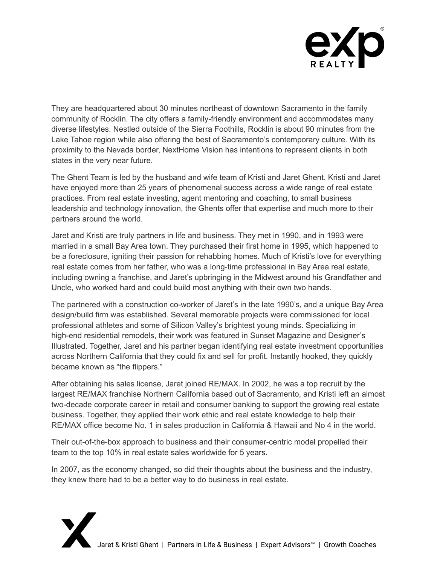

They are headquartered about 30 minutes northeast of downtown Sacramento in the family community of Rocklin. The city offers a family-friendly environment and accommodates many diverse lifestyles. Nestled outside of the Sierra Foothills, Rocklin is about 90 minutes from the Lake Tahoe region while also offering the best of Sacramento's contemporary culture. With its proximity to the Nevada border, NextHome Vision has intentions to represent clients in both states in the very near future.

The Ghent Team is led by the husband and wife team of Kristi and Jaret Ghent. Kristi and Jaret have enjoyed more than 25 years of phenomenal success across a wide range of real estate practices. From real estate investing, agent mentoring and coaching, to small business leadership and technology innovation, the Ghents offer that expertise and much more to their partners around the world.

Jaret and Kristi are truly partners in life and business. They met in 1990, and in 1993 were married in a small Bay Area town. They purchased their first home in 1995, which happened to be a foreclosure, igniting their passion for rehabbing homes. Much of Kristi's love for everything real estate comes from her father, who was a long-time professional in Bay Area real estate, including owning a franchise, and Jaret's upbringing in the Midwest around his Grandfather and Uncle, who worked hard and could build most anything with their own two hands.

The partnered with a construction co-worker of Jaret's in the late 1990's, and a unique Bay Area design/build firm was established. Several memorable projects were commissioned for local professional athletes and some of Silicon Valley's brightest young minds. Specializing in high-end residential remodels, their work was featured in Sunset Magazine and Designer's Illustrated. Together, Jaret and his partner began identifying real estate investment opportunities across Northern California that they could fix and sell for profit. Instantly hooked, they quickly became known as "the flippers."

After obtaining his sales license, Jaret joined RE/MAX. In 2002, he was a top recruit by the largest RE/MAX franchise Northern California based out of Sacramento, and Kristi left an almost two-decade corporate career in retail and consumer banking to support the growing real estate business. Together, they applied their work ethic and real estate knowledge to help their RE/MAX office become No. 1 in sales production in California & Hawaii and No 4 in the world.

Their out-of-the-box approach to business and their consumer-centric model propelled their team to the top 10% in real estate sales worldwide for 5 years.

In 2007, as the economy changed, so did their thoughts about the business and the industry, they knew there had to be a better way to do business in real estate.

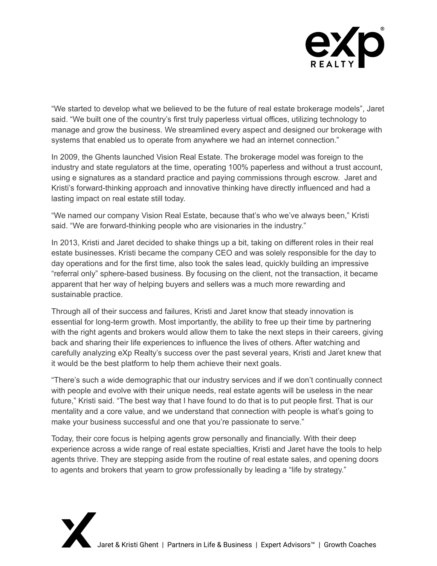

"We started to develop what we believed to be the future of real estate brokerage models", Jaret said. "We built one of the country's first truly paperless virtual offices, utilizing technology to manage and grow the business. We streamlined every aspect and designed our brokerage with systems that enabled us to operate from anywhere we had an internet connection."

In 2009, the Ghents launched Vision Real Estate. The brokerage model was foreign to the industry and state regulators at the time, operating 100% paperless and without a trust account, using e signatures as a standard practice and paying commissions through escrow. Jaret and Kristi's forward-thinking approach and innovative thinking have directly influenced and had a lasting impact on real estate still today.

"We named our company Vision Real Estate, because that's who we've always been," Kristi said. "We are forward-thinking people who are visionaries in the industry."

In 2013, Kristi and Jaret decided to shake things up a bit, taking on different roles in their real estate businesses. Kristi became the company CEO and was solely responsible for the day to day operations and for the first time, also took the sales lead, quickly building an impressive "referral only" sphere-based business. By focusing on the client, not the transaction, it became apparent that her way of helping buyers and sellers was a much more rewarding and sustainable practice.

Through all of their success and failures, Kristi and Jaret know that steady innovation is essential for long-term growth. Most importantly, the ability to free up their time by partnering with the right agents and brokers would allow them to take the next steps in their careers, giving back and sharing their life experiences to influence the lives of others. After watching and carefully analyzing eXp Realty's success over the past several years, Kristi and Jaret knew that it would be the best platform to help them achieve their next goals.

"There's such a wide demographic that our industry services and if we don't continually connect with people and evolve with their unique needs, real estate agents will be useless in the near future," Kristi said. "The best way that I have found to do that is to put people first. That is our mentality and a core value, and we understand that connection with people is what's going to make your business successful and one that you're passionate to serve."

Today, their core focus is helping agents grow personally and financially. With their deep experience across a wide range of real estate specialties, Kristi and Jaret have the tools to help agents thrive. They are stepping aside from the routine of real estate sales, and opening doors to agents and brokers that yearn to grow professionally by leading a "life by strategy."